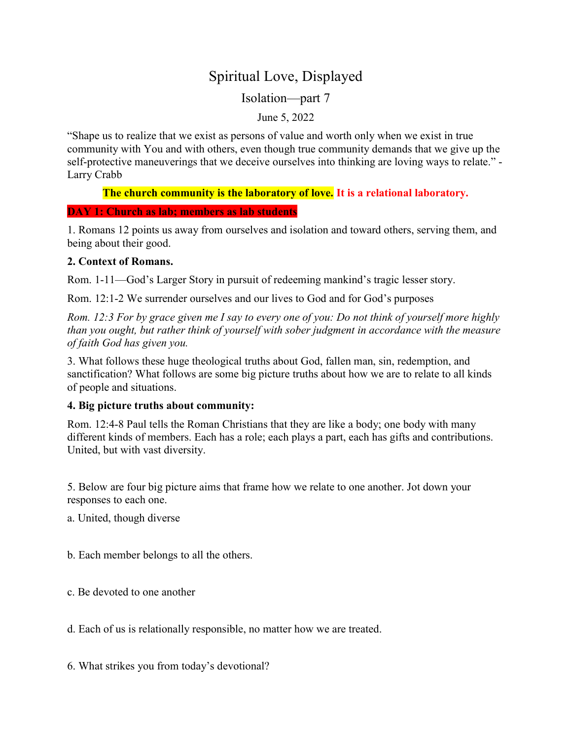# Spiritual Love, Displayed

Isolation—part 7

June 5, 2022

"Shape us to realize that we exist as persons of value and worth only when we exist in true community with You and with others, even though true community demands that we give up the self-protective maneuverings that we deceive ourselves into thinking are loving ways to relate." - Larry Crabb

The church community is the laboratory of love. It is a relational laboratory.

## DAY 1: Church as lab; members as lab students

1. Romans 12 points us away from ourselves and isolation and toward others, serving them, and being about their good.

# 2. Context of Romans.

Rom. 1-11—God's Larger Story in pursuit of redeeming mankind's tragic lesser story.

Rom. 12:1-2 We surrender ourselves and our lives to God and for God's purposes

Rom. 12:3 For by grace given me I say to every one of you: Do not think of yourself more highly than you ought, but rather think of yourself with sober judgment in accordance with the measure of faith God has given you.

3. What follows these huge theological truths about God, fallen man, sin, redemption, and sanctification? What follows are some big picture truths about how we are to relate to all kinds of people and situations.

# 4. Big picture truths about community:

Rom. 12:4-8 Paul tells the Roman Christians that they are like a body; one body with many different kinds of members. Each has a role; each plays a part, each has gifts and contributions. United, but with vast diversity.

5. Below are four big picture aims that frame how we relate to one another. Jot down your responses to each one.

- a. United, though diverse
- b. Each member belongs to all the others.
- c. Be devoted to one another
- d. Each of us is relationally responsible, no matter how we are treated.
- 6. What strikes you from today's devotional?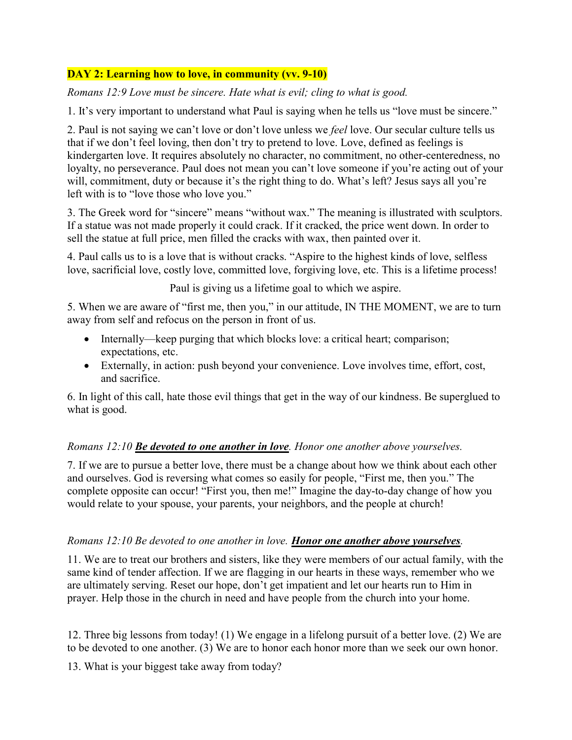# DAY 2: Learning how to love, in community (vv. 9-10)

Romans 12:9 Love must be sincere. Hate what is evil; cling to what is good.

1. It's very important to understand what Paul is saying when he tells us "love must be sincere."

2. Paul is not saying we can't love or don't love unless we *feel* love. Our secular culture tells us that if we don't feel loving, then don't try to pretend to love. Love, defined as feelings is kindergarten love. It requires absolutely no character, no commitment, no other-centeredness, no loyalty, no perseverance. Paul does not mean you can't love someone if you're acting out of your will, commitment, duty or because it's the right thing to do. What's left? Jesus says all you're left with is to "love those who love you."

3. The Greek word for "sincere" means "without wax." The meaning is illustrated with sculptors. If a statue was not made properly it could crack. If it cracked, the price went down. In order to sell the statue at full price, men filled the cracks with wax, then painted over it.

4. Paul calls us to is a love that is without cracks. "Aspire to the highest kinds of love, selfless love, sacrificial love, costly love, committed love, forgiving love, etc. This is a lifetime process!

Paul is giving us a lifetime goal to which we aspire.

5. When we are aware of "first me, then you," in our attitude, IN THE MOMENT, we are to turn away from self and refocus on the person in front of us.

- Internally—keep purging that which blocks love: a critical heart; comparison; expectations, etc.
- Externally, in action: push beyond your convenience. Love involves time, effort, cost, and sacrifice.

6. In light of this call, hate those evil things that get in the way of our kindness. Be superglued to what is good.

# Romans 12:10 **Be devoted to one another in love**. Honor one another above yourselves.

7. If we are to pursue a better love, there must be a change about how we think about each other and ourselves. God is reversing what comes so easily for people, "First me, then you." The complete opposite can occur! "First you, then me!" Imagine the day-to-day change of how you would relate to your spouse, your parents, your neighbors, and the people at church!

# Romans 12:10 Be devoted to one another in love. **Honor one another above yourselves**.

11. We are to treat our brothers and sisters, like they were members of our actual family, with the same kind of tender affection. If we are flagging in our hearts in these ways, remember who we are ultimately serving. Reset our hope, don't get impatient and let our hearts run to Him in prayer. Help those in the church in need and have people from the church into your home.

12. Three big lessons from today! (1) We engage in a lifelong pursuit of a better love. (2) We are to be devoted to one another. (3) We are to honor each honor more than we seek our own honor.

13. What is your biggest take away from today?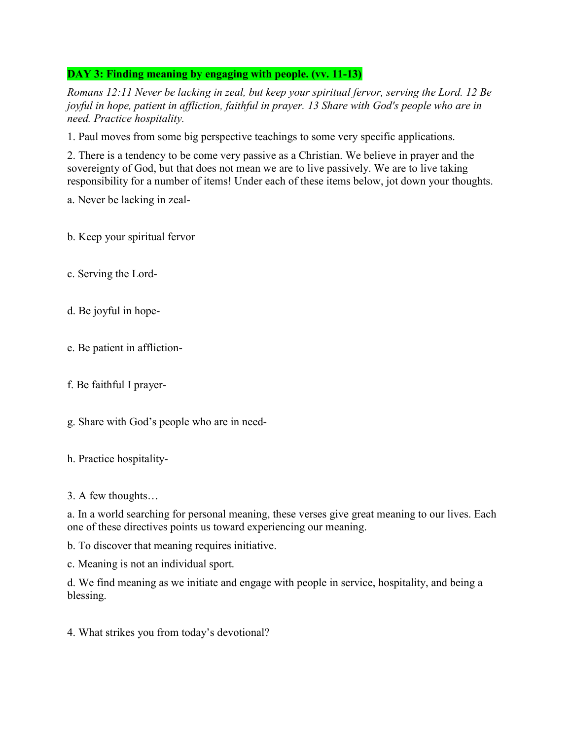# DAY 3: Finding meaning by engaging with people. (vv. 11-13)

Romans 12:11 Never be lacking in zeal, but keep your spiritual fervor, serving the Lord. 12 Be joyful in hope, patient in affliction, faithful in prayer. 13 Share with God's people who are in need. Practice hospitality.

1. Paul moves from some big perspective teachings to some very specific applications.

2. There is a tendency to be come very passive as a Christian. We believe in prayer and the sovereignty of God, but that does not mean we are to live passively. We are to live taking responsibility for a number of items! Under each of these items below, jot down your thoughts.

a. Never be lacking in zeal-

b. Keep your spiritual fervor

- c. Serving the Lord-
- d. Be joyful in hope-
- e. Be patient in affliction-
- f. Be faithful I prayer-
- g. Share with God's people who are in need-
- h. Practice hospitality-
- 3. A few thoughts…

a. In a world searching for personal meaning, these verses give great meaning to our lives. Each one of these directives points us toward experiencing our meaning.

b. To discover that meaning requires initiative.

c. Meaning is not an individual sport.

d. We find meaning as we initiate and engage with people in service, hospitality, and being a blessing.

4. What strikes you from today's devotional?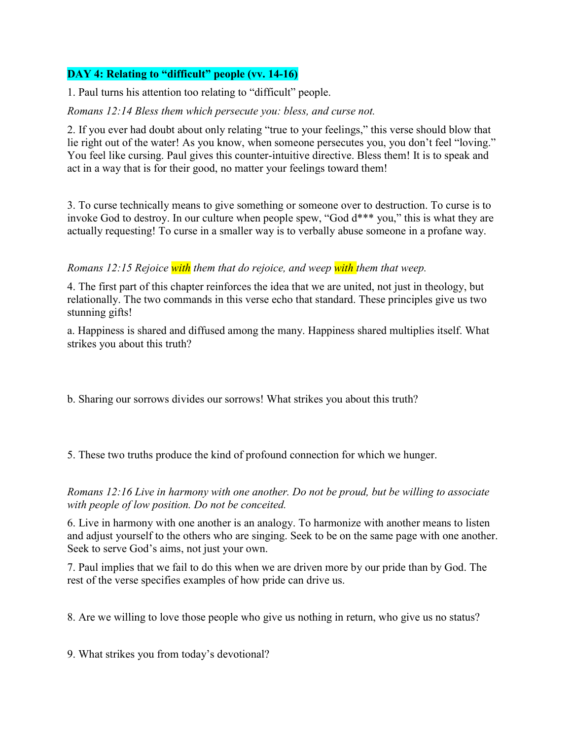# DAY 4: Relating to "difficult" people (vv. 14-16)

1. Paul turns his attention too relating to "difficult" people.

#### Romans 12:14 Bless them which persecute you: bless, and curse not.

2. If you ever had doubt about only relating "true to your feelings," this verse should blow that lie right out of the water! As you know, when someone persecutes you, you don't feel "loving." You feel like cursing. Paul gives this counter-intuitive directive. Bless them! It is to speak and act in a way that is for their good, no matter your feelings toward them!

3. To curse technically means to give something or someone over to destruction. To curse is to invoke God to destroy. In our culture when people spew, "God d\*\*\* you," this is what they are actually requesting! To curse in a smaller way is to verbally abuse someone in a profane way.

## Romans 12:15 Rejoice with them that do rejoice, and weep with them that weep.

4. The first part of this chapter reinforces the idea that we are united, not just in theology, but relationally. The two commands in this verse echo that standard. These principles give us two stunning gifts!

a. Happiness is shared and diffused among the many. Happiness shared multiplies itself. What strikes you about this truth?

b. Sharing our sorrows divides our sorrows! What strikes you about this truth?

5. These two truths produce the kind of profound connection for which we hunger.

Romans 12:16 Live in harmony with one another. Do not be proud, but be willing to associate with people of low position. Do not be conceited.

6. Live in harmony with one another is an analogy. To harmonize with another means to listen and adjust yourself to the others who are singing. Seek to be on the same page with one another. Seek to serve God's aims, not just your own.

7. Paul implies that we fail to do this when we are driven more by our pride than by God. The rest of the verse specifies examples of how pride can drive us.

8. Are we willing to love those people who give us nothing in return, who give us no status?

9. What strikes you from today's devotional?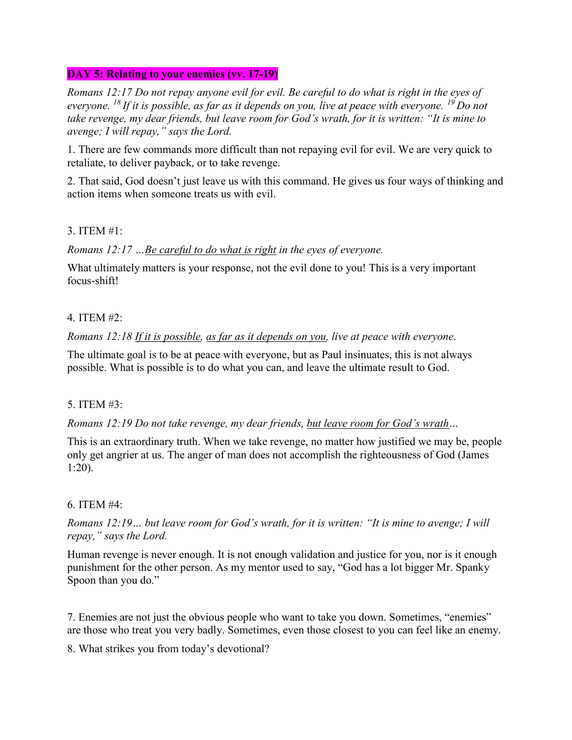## DAY 5: Relating to your enemies (vv. 17-19)

Romans 12:17 Do not repay anyone evil for evil. Be careful to do what is right in the eyes of everyone. <sup>18</sup> If it is possible, as far as it depends on you, live at peace with everyone. <sup>19</sup> Do not take revenge, my dear friends, but leave room for God's wrath, for it is written: "It is mine to avenge; I will repay," says the Lord.

1. There are few commands more difficult than not repaying evil for evil. We are very quick to retaliate, to deliver payback, or to take revenge.

2. That said, God doesn't just leave us with this command. He gives us four ways of thinking and action items when someone treats us with evil.

## 3. ITEM #1:

Romans 12:17 …Be careful to do what is right in the eyes of everyone.

What ultimately matters is your response, not the evil done to you! This is a very important focus-shift!

## 4. ITEM #2:

Romans 12:18 If it is possible, as far as it depends on you, live at peace with everyone.

The ultimate goal is to be at peace with everyone, but as Paul insinuates, this is not always possible. What is possible is to do what you can, and leave the ultimate result to God.

# 5. ITEM #3:

Romans 12:19 Do not take revenge, my dear friends, but leave room for God's wrath…

This is an extraordinary truth. When we take revenge, no matter how justified we may be, people only get angrier at us. The anger of man does not accomplish the righteousness of God (James 1:20).

# 6. ITEM #4:

Romans 12:19… but leave room for God's wrath, for it is written: "It is mine to avenge; I will repay," says the Lord.

Human revenge is never enough. It is not enough validation and justice for you, nor is it enough punishment for the other person. As my mentor used to say, "God has a lot bigger Mr. Spanky Spoon than you do."

7. Enemies are not just the obvious people who want to take you down. Sometimes, "enemies" are those who treat you very badly. Sometimes, even those closest to you can feel like an enemy.

8. What strikes you from today's devotional?